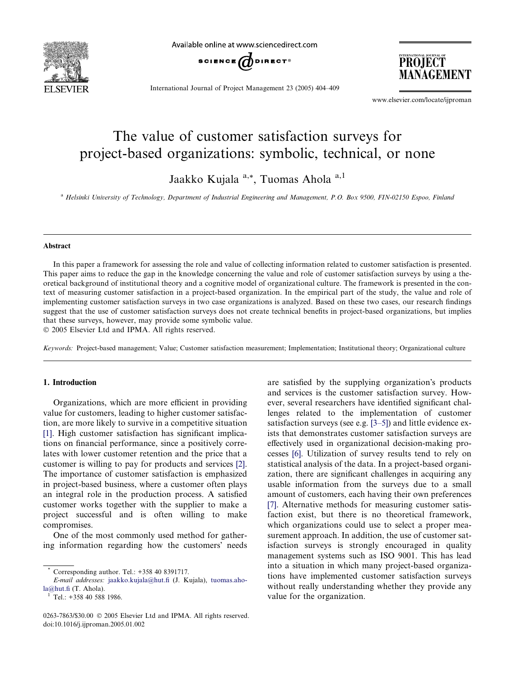

Available online at www.sciencedirect.com



PROJECT MANAGEMENT

International Journal of Project Management 23 (2005) 404–409

www.elsevier.com/locate/ijproman

## The value of customer satisfaction surveys for project-based organizations: symbolic, technical, or none

Jaakko Kujala a,\*, Tuomas Ahola a,1

<sup>a</sup> Helsinki University of Technology, Department of Industrial Engineering and Management, P.O. Box 9500, FIN-02150 Espoo, Finland

#### Abstract

In this paper a framework for assessing the role and value of collecting information related to customer satisfaction is presented. This paper aims to reduce the gap in the knowledge concerning the value and role of customer satisfaction surveys by using a theoretical background of institutional theory and a cognitive model of organizational culture. The framework is presented in the context of measuring customer satisfaction in a project-based organization. In the empirical part of the study, the value and role of implementing customer satisfaction surveys in two case organizations is analyzed. Based on these two cases, our research findings suggest that the use of customer satisfaction surveys does not create technical benefits in project-based organizations, but implies that these surveys, however, may provide some symbolic value.

2005 Elsevier Ltd and IPMA. All rights reserved.

Keywords: Project-based management; Value; Customer satisfaction measurement; Implementation; Institutional theory; Organizational culture

### 1. Introduction

Organizations, which are more efficient in providing value for customers, leading to higher customer satisfaction, are more likely to survive in a competitive situation [\[1\]](#page--1-0). High customer satisfaction has significant implications on financial performance, since a positively correlates with lower customer retention and the price that a customer is willing to pay for products and services [\[2\]](#page--1-0). The importance of customer satisfaction is emphasized in project-based business, where a customer often plays an integral role in the production process. A satisfied customer works together with the supplier to make a project successful and is often willing to make compromises.

One of the most commonly used method for gathering information regarding how the customers' needs are satisfied by the supplying organization's products and services is the customer satisfaction survey. However, several researchers have identified significant challenges related to the implementation of customer satisfaction surveys (see e.g. [\[3–5\]\)](#page--1-0) and little evidence exists that demonstrates customer satisfaction surveys are effectively used in organizational decision-making processes [\[6\].](#page--1-0) Utilization of survey results tend to rely on statistical analysis of the data. In a project-based organization, there are significant challenges in acquiring any usable information from the surveys due to a small amount of customers, each having their own preferences [\[7\]](#page--1-0). Alternative methods for measuring customer satisfaction exist, but there is no theoretical framework, which organizations could use to select a proper measurement approach. In addition, the use of customer satisfaction surveys is strongly encouraged in quality management systems such as ISO 9001. This has lead into a situation in which many project-based organizations have implemented customer satisfaction surveys without really understanding whether they provide any value for the organization.

Corresponding author. Tel.: +358 40 8391717.

E-mail addresses: [jaakko.kujala@hut.fi](mailto:jaakko.kujala@hut.fi) (J. Kujala), [tuomas.aho](mailto:tuomas.ahola@hut.fi)[la@hut.fi](mailto:tuomas.ahola@hut.fi) (T. Ahola). <sup>1</sup> Tel.: +358 40 588 1986.

<sup>0263-7863/\$30.00</sup>  $\odot$  2005 Elsevier Ltd and IPMA. All rights reserved. doi:10.1016/j.ijproman.2005.01.002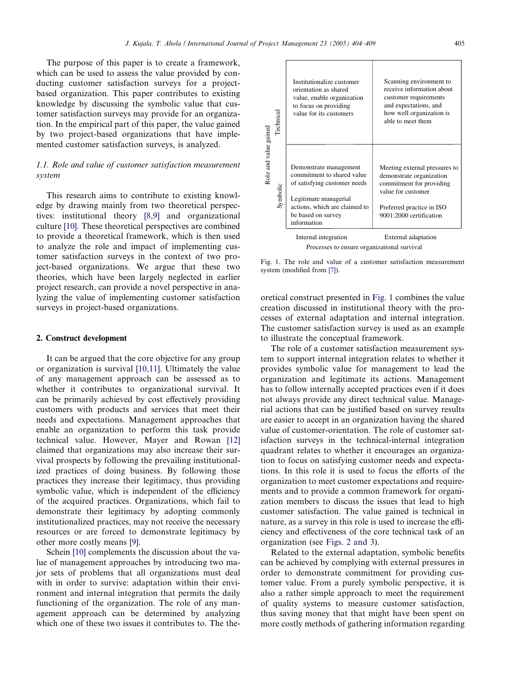The purpose of this paper is to create a framework, which can be used to assess the value provided by conducting customer satisfaction surveys for a projectbased organization. This paper contributes to existing knowledge by discussing the symbolic value that customer satisfaction surveys may provide for an organization. In the empirical part of this paper, the value gained by two project-based organizations that have implemented customer satisfaction surveys, is analyzed.

## 1.1. Role and value of customer satisfaction measurement system

This research aims to contribute to existing knowledge by drawing mainly from two theoretical perspectives: institutional theory [\[8,9\]](#page--1-0) and organizational culture [\[10\]](#page--1-0). These theoretical perspectives are combined to provide a theoretical framework, which is then used to analyze the role and impact of implementing customer satisfaction surveys in the context of two project-based organizations. We argue that these two theories, which have been largely neglected in earlier project research, can provide a novel perspective in analyzing the value of implementing customer satisfaction surveys in project-based organizations.

### 2. Construct development

It can be argued that the core objective for any group or organization is survival [\[10,11\]](#page--1-0). Ultimately the value of any management approach can be assessed as to whether it contributes to organizational survival. It can be primarily achieved by cost effectively providing customers with products and services that meet their needs and expectations. Management approaches that enable an organization to perform this task provide technical value. However, Mayer and Rowan [\[12\]](#page--1-0) claimed that organizations may also increase their survival prospects by following the prevailing institutionalized practices of doing business. By following those practices they increase their legitimacy, thus providing symbolic value, which is independent of the efficiency of the acquired practices. Organizations, which fail to demonstrate their legitimacy by adopting commonly institutionalized practices, may not receive the necessary resources or are forced to demonstrate legitimacy by other more costly means [\[9\]](#page--1-0).

Schein [\[10\]](#page--1-0) complements the discussion about the value of management approaches by introducing two major sets of problems that all organizations must deal with in order to survive: adaptation within their environment and internal integration that permits the daily functioning of the organization. The role of any management approach can be determined by analyzing which one of these two issues it contributes to. The the-

| Role and value gained | Technical | Institutionalize customer<br>orientation as shared<br>value, enable organization<br>to focus on providing<br>value for its customers                                                | Scanning environment to<br>receive information about<br>customer requirements<br>and expectations, and<br>how well organization is<br>able to meet them             |
|-----------------------|-----------|-------------------------------------------------------------------------------------------------------------------------------------------------------------------------------------|---------------------------------------------------------------------------------------------------------------------------------------------------------------------|
|                       | Symbolic  | Demonstrate management<br>commitment to shared value<br>of satisfying customer needs<br>Legitimate managerial<br>actions, which are claimed to<br>be based on survey<br>information | Meeting external pressures to<br>demonstrate organization<br>commitment for providing<br>value for customer<br>Preferred practice in ISO<br>9001:2000 certification |
|                       |           | Internal integration                                                                                                                                                                | External adaptation                                                                                                                                                 |
|                       |           | Processes to ensure organizational survival                                                                                                                                         |                                                                                                                                                                     |

Fig. 1. The role and value of a customer satisfaction measurement system (modified from [\[7\]\)](#page--1-0).

oretical construct presented in Fig. 1 combines the value creation discussed in institutional theory with the processes of external adaptation and internal integration. The customer satisfaction survey is used as an example to illustrate the conceptual framework.

The role of a customer satisfaction measurement system to support internal integration relates to whether it provides symbolic value for management to lead the organization and legitimate its actions. Management has to follow internally accepted practices even if it does not always provide any direct technical value. Managerial actions that can be justified based on survey results are easier to accept in an organization having the shared value of customer-orientation. The role of customer satisfaction surveys in the technical-internal integration quadrant relates to whether it encourages an organization to focus on satisfying customer needs and expectations. In this role it is used to focus the efforts of the organization to meet customer expectations and requirements and to provide a common framework for organization members to discuss the issues that lead to high customer satisfaction. The value gained is technical in nature, as a survey in this role is used to increase the efficiency and effectiveness of the core technical task of an organization (see [Figs. 2 and 3\)](#page--1-0). The cost of the customers<br>  $\frac{1}{2}$  and the format and presumptation is<br>  $\frac{1}{2}$  and  $\frac{1}{2}$  cost and  $\frac{1}{2}$  continuum to shard value demonstrate organization<br>  $\frac{1}{2}$  costs of a straiglying usatomer needs<br>  $\frac{$ 

Related to the external adaptation, symbolic benefits can be achieved by complying with external pressures in order to demonstrate commitment for providing customer value. From a purely symbolic perspective, it is also a rather simple approach to meet the requirement of quality systems to measure customer satisfaction, thus saving money that that might have been spent on